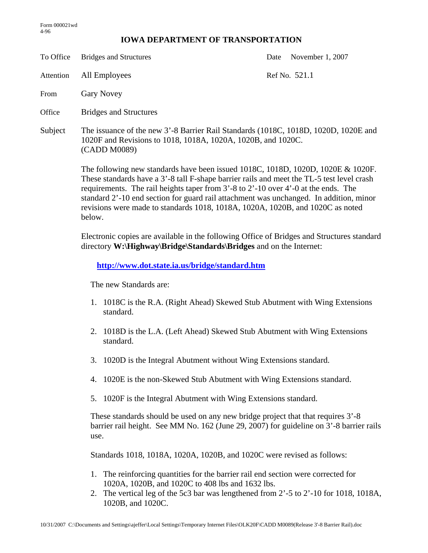## **IOWA DEPARTMENT OF TRANSPORTATION**

To Office Bridges and Structures Date November 1, 2007 Attention All Employees Ref No. 521.1 From Gary Novey Office Bridges and Structures Subject The issuance of the new 3'-8 Barrier Rail Standards (1018C, 1018D, 1020D, 1020E and 1020F and Revisions to 1018, 1018A, 1020A, 1020B, and 1020C. (CADD M0089) The following new standards have been issued 1018C, 1018D, 1020D, 1020E & 1020F.

These standards have a 3'-8 tall F-shape barrier rails and meet the TL-5 test level crash requirements. The rail heights taper from 3'-8 to 2'-10 over 4'-0 at the ends. The standard 2'-10 end section for guard rail attachment was unchanged. In addition, minor revisions were made to standards 1018, 1018A, 1020A, 1020B, and 1020C as noted below.

Electronic copies are available in the following Office of Bridges and Structures standard directory **W:\Highway\Bridge\Standards\Bridges** and on the Internet:

**http://www.dot.state.ia.us/bridge/standard.htm**

The new Standards are:

- 1. 1018C is the R.A. (Right Ahead) Skewed Stub Abutment with Wing Extensions standard.
- 2. 1018D is the L.A. (Left Ahead) Skewed Stub Abutment with Wing Extensions standard.
- 3. 1020D is the Integral Abutment without Wing Extensions standard.
- 4. 1020E is the non-Skewed Stub Abutment with Wing Extensions standard.
- 5. 1020F is the Integral Abutment with Wing Extensions standard.

These standards should be used on any new bridge project that that requires 3'-8 barrier rail height. See MM No. 162 (June 29, 2007) for guideline on 3'-8 barrier rails use.

Standards 1018, 1018A, 1020A, 1020B, and 1020C were revised as follows:

- 1. The reinforcing quantities for the barrier rail end section were corrected for 1020A, 1020B, and 1020C to 408 lbs and 1632 lbs.
- 2. The vertical leg of the 5c3 bar was lengthened from 2'-5 to 2'-10 for 1018, 1018A, 1020B, and 1020C.